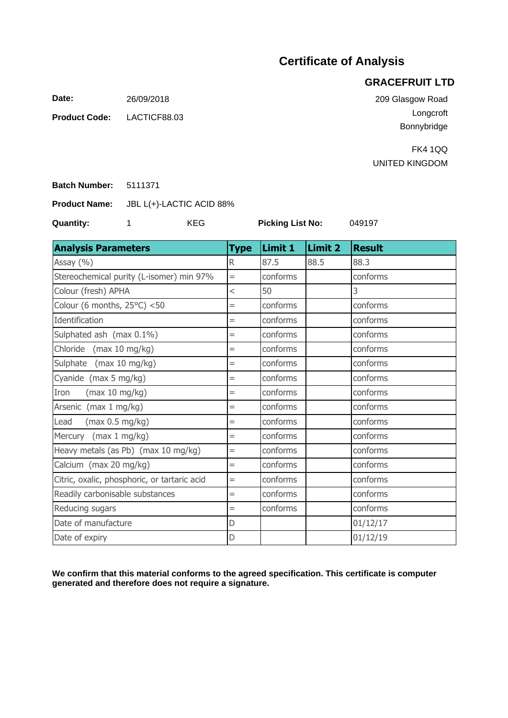## **Certificate of Analysis**

## **GRACEFRUIT LTD**

**Date:** 26/09/2018

LACTICF88.03 **Product Code:**

209 Glasgow Road Longcroft Bonnybridge

FK4 1QQ UNITED KINGDOM

5111371 **Batch Number:**

JBL L(+)-LACTIC ACID 88% **Product Name:**

**Quantity:** 1 KEG

**Picking List No:**

049197

| <b>Analysis Parameters</b>                   | <b>Type</b> | Limit 1  | Limit 2 | <b>Result</b> |
|----------------------------------------------|-------------|----------|---------|---------------|
| Assay (%)                                    | R           | 87.5     | 88.5    | 88.3          |
| Stereochemical purity (L-isomer) min 97%     | $=$         | conforms |         | conforms      |
| Colour (fresh) APHA                          | $\lt$       | 50       |         | 3             |
| Colour (6 months, $25^{\circ}$ C) <50        | $=$         | conforms |         | conforms      |
| Identification                               | $=$         | conforms |         | conforms      |
| Sulphated ash (max 0.1%)                     | $=$         | conforms |         | conforms      |
| Chloride (max 10 mg/kg)                      | $=$         | conforms |         | conforms      |
| Sulphate (max 10 mg/kg)                      | $=$         | conforms |         | conforms      |
| Cyanide (max 5 mg/kg)                        | $=$         | conforms |         | conforms      |
| Iron<br>(max 10 mg/kg)                       | $=$         | conforms |         | conforms      |
| Arsenic (max 1 mg/kg)                        | $=$         | conforms |         | conforms      |
| (max 0.5 mg/kg)<br>Lead                      | $=$         | conforms |         | conforms      |
| Mercury (max 1 mg/kg)                        | $=$         | conforms |         | conforms      |
| Heavy metals (as Pb) (max 10 mg/kg)          | $=$         | conforms |         | conforms      |
| Calcium (max 20 mg/kg)                       | $=$         | conforms |         | conforms      |
| Citric, oxalic, phosphoric, or tartaric acid | $=$         | conforms |         | conforms      |
| Readily carbonisable substances              | $=$         | conforms |         | conforms      |
| Reducing sugars                              | $=$         | conforms |         | conforms      |
| Date of manufacture                          | D           |          |         | 01/12/17      |
| Date of expiry                               | D           |          |         | 01/12/19      |

**We confirm that this material conforms to the agreed specification. This certificate is computer generated and therefore does not require a signature.**